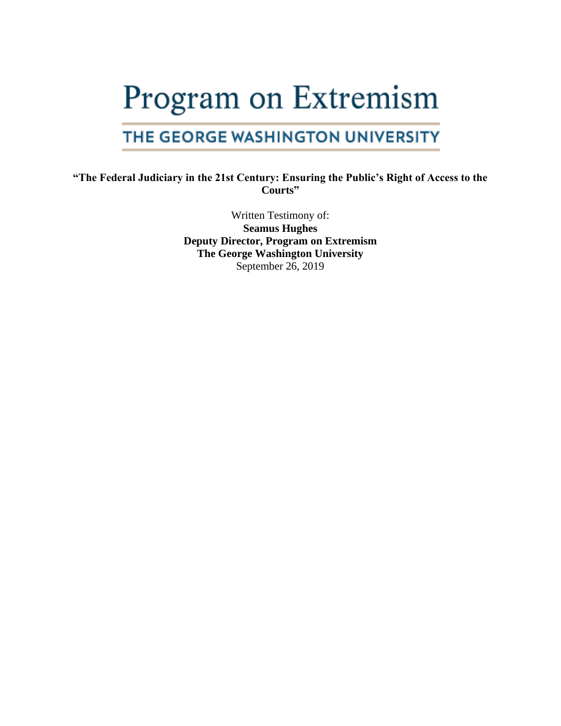# Program on Extremism

# THE GEORGE WASHINGTON UNIVERSITY

## **"The Federal Judiciary in the 21st Century: Ensuring the Public's Right of Access to the Courts"**

Written Testimony of: **Seamus Hughes Deputy Director, Program on Extremism The George Washington University** September 26, 2019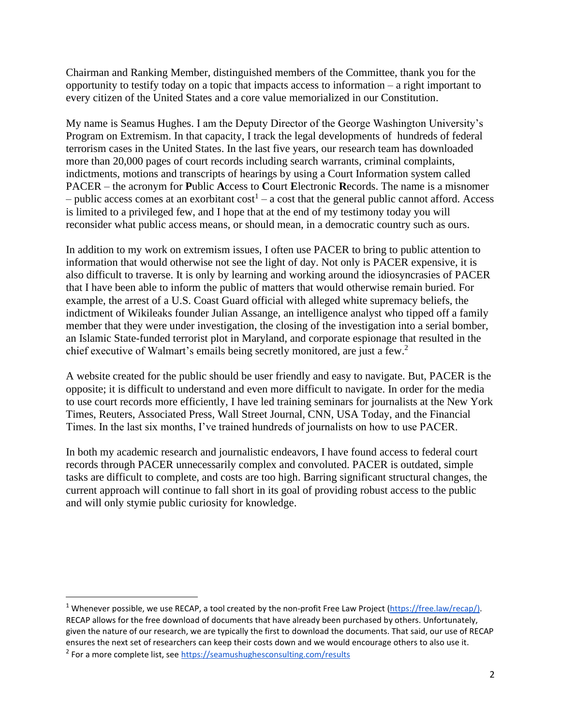Chairman and Ranking Member, distinguished members of the Committee, thank you for the opportunity to testify today on a topic that impacts access to information – a right important to every citizen of the United States and a core value memorialized in our Constitution.

My name is Seamus Hughes. I am the Deputy Director of the George Washington University's Program on Extremism. In that capacity, I track the legal developments of hundreds of federal terrorism cases in the United States. In the last five years, our research team has downloaded more than 20,000 pages of court records including search warrants, criminal complaints, indictments, motions and transcripts of hearings by using a Court Information system called PACER – the acronym for **P**ublic **A**ccess to **C**ourt **E**lectronic **R**ecords. The name is a misnomer - public access comes at an exorbitant  $cost<sup>1</sup> - a cost that the general public cannot afford. Access$ is limited to a privileged few, and I hope that at the end of my testimony today you will reconsider what public access means, or should mean, in a democratic country such as ours.

In addition to my work on extremism issues, I often use PACER to bring to public attention to information that would otherwise not see the light of day. Not only is PACER expensive, it is also difficult to traverse. It is only by learning and working around the idiosyncrasies of PACER that I have been able to inform the public of matters that would otherwise remain buried. For example, the arrest of a U.S. Coast Guard official with alleged white supremacy beliefs, the indictment of Wikileaks founder Julian Assange, an intelligence analyst who tipped off a family member that they were under investigation, the closing of the investigation into a serial bomber, an Islamic State-funded terrorist plot in Maryland, and corporate espionage that resulted in the chief executive of Walmart's emails being secretly monitored, are just a few.<sup>2</sup>

A website created for the public should be user friendly and easy to navigate. But, PACER is the opposite; it is difficult to understand and even more difficult to navigate. In order for the media to use court records more efficiently, I have led training seminars for journalists at the New York Times, Reuters, Associated Press, Wall Street Journal, CNN, USA Today, and the Financial Times. In the last six months, I've trained hundreds of journalists on how to use PACER.

In both my academic research and journalistic endeavors, I have found access to federal court records through PACER unnecessarily complex and convoluted. PACER is outdated, simple tasks are difficult to complete, and costs are too high. Barring significant structural changes, the current approach will continue to fall short in its goal of providing robust access to the public and will only stymie public curiosity for knowledge.

<sup>&</sup>lt;sup>1</sup> Whenever possible, we use RECAP, a tool created by the non-profit Free Law Project [\(https://free.law/recap/](https://free.law/recap/)[\).](https://free.law/recap/)RECAP) RECAP allows for the free download of documents that have already been purchased by others. Unfortunately, given the nature of our research, we are typically the first to download the documents. That said, our use of RECAP ensures the next set of researchers can keep their costs down and we would encourage others to also use it. <sup>2</sup> For a more complete list, see<https://seamushughesconsulting.com/results>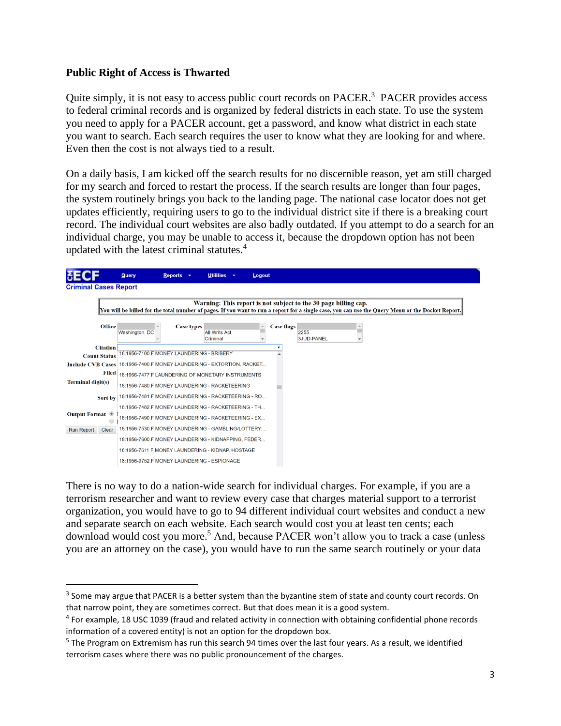#### **Public Right of Access is Thwarted**

Quite simply, it is not easy to access public court records on PACER.<sup>3</sup> PACER provides access to federal criminal records and is organized by federal districts in each state. To use the system you need to apply for a PACER account, get a password, and know what district in each state you want to search. Each search requires the user to know what they are looking for and where. Even then the cost is not always tied to a result.

On a daily basis, I am kicked off the search results for no discernible reason, yet am still charged for my search and forced to restart the process. If the search results are longer than four pages, the system routinely brings you back to the landing page. The national case locator does not get updates efficiently, requiring users to go to the individual district site if there is a breaking court record. The individual court websites are also badly outdated. If you attempt to do a search for an individual charge, you may be unable to access it, because the dropdown option has not been updated with the latest criminal statutes.<sup>4</sup>



There is no way to do a nation-wide search for individual charges. For example, if you are a terrorism researcher and want to review every case that charges material support to a terrorist organization, you would have to go to 94 different individual court websites and conduct a new and separate search on each website. Each search would cost you at least ten cents; each download would cost you more. <sup>5</sup> And, because PACER won't allow you to track a case (unless you are an attorney on the case), you would have to run the same search routinely or your data

 $3$  Some may argue that PACER is a better system than the byzantine stem of state and county court records. On that narrow point, they are sometimes correct. But that does mean it is a good system.

<sup>&</sup>lt;sup>4</sup> For example, 18 USC 1039 (fraud and related activity in connection with obtaining confidential phone records information of a covered entity) is not an option for the dropdown box.

<sup>&</sup>lt;sup>5</sup> The Program on Extremism has run this search 94 times over the last four years. As a result, we identified terrorism cases where there was no public pronouncement of the charges.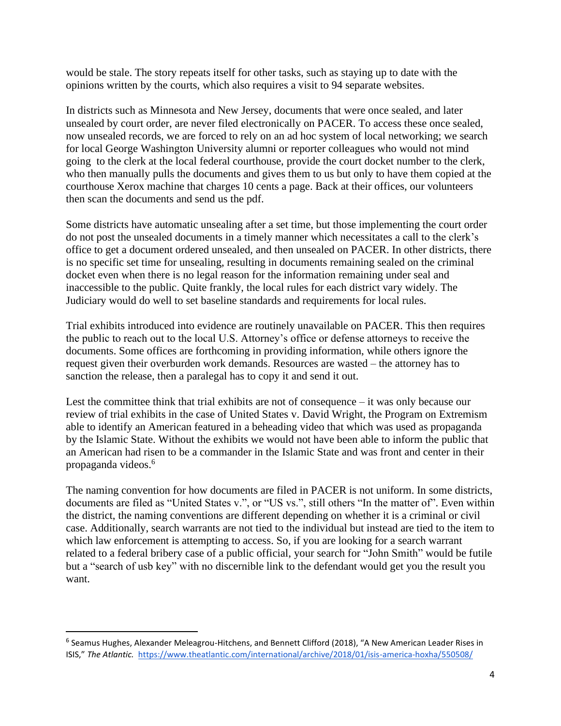would be stale. The story repeats itself for other tasks, such as staying up to date with the opinions written by the courts, which also requires a visit to 94 separate websites.

In districts such as Minnesota and New Jersey, documents that were once sealed, and later unsealed by court order, are never filed electronically on PACER. To access these once sealed, now unsealed records, we are forced to rely on an ad hoc system of local networking; we search for local George Washington University alumni or reporter colleagues who would not mind going to the clerk at the local federal courthouse, provide the court docket number to the clerk, who then manually pulls the documents and gives them to us but only to have them copied at the courthouse Xerox machine that charges 10 cents a page. Back at their offices, our volunteers then scan the documents and send us the pdf.

Some districts have automatic unsealing after a set time, but those implementing the court order do not post the unsealed documents in a timely manner which necessitates a call to the clerk's office to get a document ordered unsealed, and then unsealed on PACER. In other districts, there is no specific set time for unsealing, resulting in documents remaining sealed on the criminal docket even when there is no legal reason for the information remaining under seal and inaccessible to the public. Quite frankly, the local rules for each district vary widely. The Judiciary would do well to set baseline standards and requirements for local rules.

Trial exhibits introduced into evidence are routinely unavailable on PACER. This then requires the public to reach out to the local U.S. Attorney's office or defense attorneys to receive the documents. Some offices are forthcoming in providing information, while others ignore the request given their overburden work demands. Resources are wasted – the attorney has to sanction the release, then a paralegal has to copy it and send it out.

Lest the committee think that trial exhibits are not of consequence – it was only because our review of trial exhibits in the case of United States v. David Wright, the Program on Extremism able to identify an American featured in a beheading video that which was used as propaganda by the Islamic State. Without the exhibits we would not have been able to inform the public that an American had risen to be a commander in the Islamic State and was front and center in their propaganda videos. 6

The naming convention for how documents are filed in PACER is not uniform. In some districts, documents are filed as "United States v.", or "US vs.", still others "In the matter of". Even within the district, the naming conventions are different depending on whether it is a criminal or civil case. Additionally, search warrants are not tied to the individual but instead are tied to the item to which law enforcement is attempting to access. So, if you are looking for a search warrant related to a federal bribery case of a public official, your search for "John Smith" would be futile but a "search of usb key" with no discernible link to the defendant would get you the result you want.

<sup>&</sup>lt;sup>6</sup> Seamus Hughes, Alexander Meleagrou-Hitchens, and Bennett Clifford (2018), "A New American Leader Rises in ISIS," *The Atlantic.* <https://www.theatlantic.com/international/archive/2018/01/isis-america-hoxha/550508/>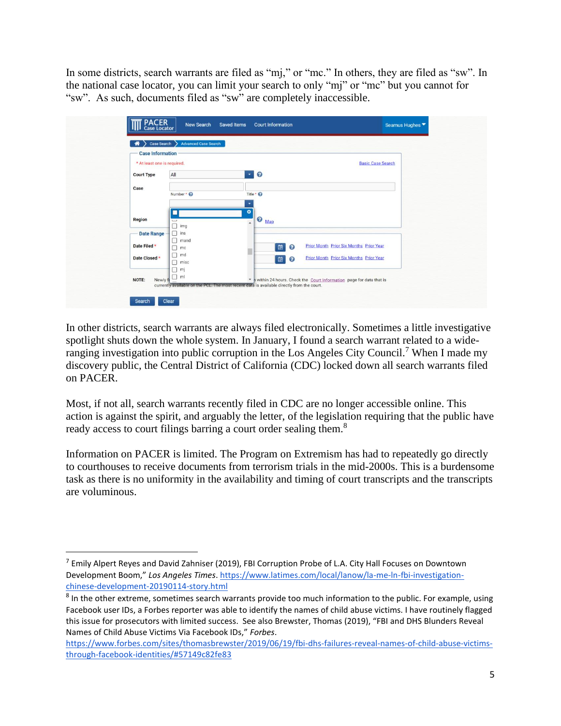In some districts, search warrants are filed as "mj," or "mc." In others, they are filed as "sw". In the national case locator, you can limit your search to only "mj" or "mc" but you cannot for "sw". As such, documents filed as "sw" are completely inaccessible.

| <b>T</b> PACER<br>Case Locator<br>Case Search          | <b>New Search</b><br>Saved Items<br><b>Advanced Case Search</b> | <b>Court Information</b>                                                                                                                                             |                                                                                                  | Seamus Hughes |
|--------------------------------------------------------|-----------------------------------------------------------------|----------------------------------------------------------------------------------------------------------------------------------------------------------------------|--------------------------------------------------------------------------------------------------|---------------|
| <b>Case Information</b><br>* At least one is required. |                                                                 |                                                                                                                                                                      | <b>Basic Case Search</b>                                                                         |               |
| <b>Court Type</b><br>Case                              | All<br>Number * <sup>O</sup>                                    | $\bullet$<br>$\bullet$<br>Title * <sup>©</sup>                                                                                                                       |                                                                                                  |               |
| Region<br><b>Date Range</b>                            | $\overline{\phantom{a}}$<br>$\Box$<br>img<br>$\Box$<br>ins      | ٠<br>$\bullet$<br>$\bullet$ Map<br>$\blacktriangle$                                                                                                                  |                                                                                                  |               |
| Date Filed *<br>Date Closed *                          | $\Box$<br>mand<br>П<br>mc<br>$\Box$<br>md<br>$\Box$<br>misc     | 鱼<br>$\bullet$<br>的<br>$\bullet$                                                                                                                                     | <b>Prior Month Prior Six Months Prior Year</b><br><b>Prior Month Prior Six Months Prior Year</b> |               |
| NOTE:<br>Newly fi                                      | $\Box$<br>mj<br>$\Box$ ml                                       | * n within 24 hours. Check the Court Information page for data that is<br>currently available on the PCL. The most recent data is available directly from the court. |                                                                                                  |               |
| Search                                                 | Clear                                                           |                                                                                                                                                                      |                                                                                                  |               |

In other districts, search warrants are always filed electronically. Sometimes a little investigative spotlight shuts down the whole system. In January, I found a search warrant related to a wideranging investigation into public corruption in the Los Angeles City Council.<sup>7</sup> When I made my discovery public, the Central District of California (CDC) locked down all search warrants filed on PACER.

Most, if not all, search warrants recently filed in CDC are no longer accessible online. This action is against the spirit, and arguably the letter, of the legislation requiring that the public have ready access to court filings barring a court order sealing them.<sup>8</sup>

Information on PACER is limited. The Program on Extremism has had to repeatedly go directly to courthouses to receive documents from terrorism trials in the mid-2000s. This is a burdensome task as there is no uniformity in the availability and timing of court transcripts and the transcripts are voluminous.

<sup>&</sup>lt;sup>7</sup> Emily Alpert Reyes and David Zahniser (2019), FBI Corruption Probe of L.A. City Hall Focuses on Downtown Development Boom," *Los Angeles Times*. [https://www.latimes.com/local/lanow/la-me-ln-fbi-investigation](https://www.latimes.com/local/lanow/la-me-ln-fbi-investigation-chinese-development-20190114-story.html)[chinese-development-20190114-story.html](https://www.latimes.com/local/lanow/la-me-ln-fbi-investigation-chinese-development-20190114-story.html)

<sup>&</sup>lt;sup>8</sup> In the other extreme, sometimes search warrants provide too much information to the public. For example, using Facebook user IDs, a Forbes reporter was able to identify the names of child abuse victims. I have routinely flagged this issue for prosecutors with limited success. See also Brewster, Thomas (2019), "FBI and DHS Blunders Reveal Names of Child Abuse Victims Via Facebook IDs," *Forbes*.

[https://www.forbes.com/sites/thomasbrewster/2019/06/19/fbi-dhs-failures-reveal-names-of-child-abuse-victims](https://www.forbes.com/sites/thomasbrewster/2019/06/19/fbi-dhs-failures-reveal-names-of-child-abuse-victims-through-facebook-identities/#57149c82fe83)[through-facebook-identities/#57149c82fe83](https://www.forbes.com/sites/thomasbrewster/2019/06/19/fbi-dhs-failures-reveal-names-of-child-abuse-victims-through-facebook-identities/#57149c82fe83)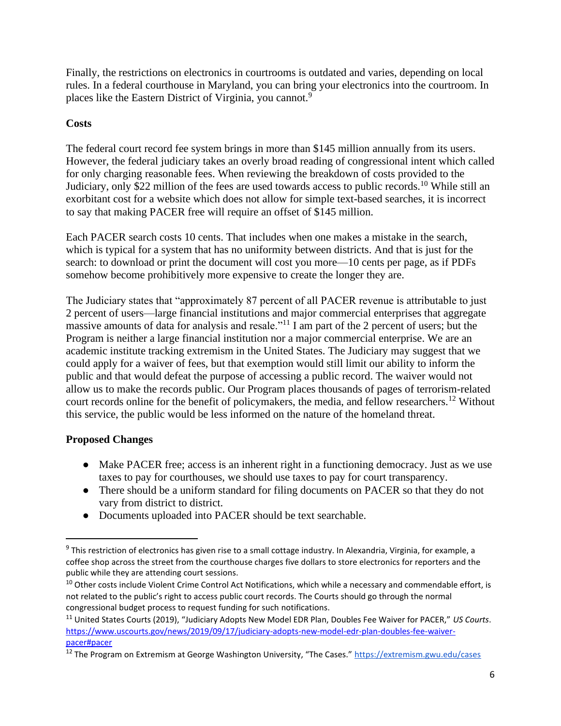Finally, the restrictions on electronics in courtrooms is outdated and varies, depending on local rules. In a federal courthouse in Maryland, you can bring your electronics into the courtroom. In places like the Eastern District of Virginia, you cannot.<sup>9</sup>

# **Costs**

The federal court record fee system brings in more than \$145 million annually from its users. However, the federal judiciary takes an overly broad reading of congressional intent which called for only charging reasonable fees. When reviewing the breakdown of costs provided to the Judiciary, only \$22 million of the fees are used towards access to public records.<sup>10</sup> While still an exorbitant cost for a website which does not allow for simple text-based searches, it is incorrect to say that making PACER free will require an offset of \$145 million.

Each PACER search costs 10 cents. That includes when one makes a mistake in the search, which is typical for a system that has no uniformity between districts. And that is just for the search: to download or print the document will cost you more—10 cents per page, as if PDFs somehow become prohibitively more expensive to create the longer they are.

The Judiciary states that "approximately 87 percent of all PACER revenue is attributable to just 2 percent of users—large financial institutions and major commercial enterprises that aggregate massive amounts of data for analysis and resale."<sup>11</sup> I am part of the 2 percent of users; but the Program is neither a large financial institution nor a major commercial enterprise. We are an academic institute tracking extremism in the United States. The Judiciary may suggest that we could apply for a waiver of fees, but that exemption would still limit our ability to inform the public and that would defeat the purpose of accessing a public record. The waiver would not allow us to make the records public. Our Program places thousands of pages of terrorism-related court records online for the benefit of policymakers, the media, and fellow researchers.<sup>12</sup> Without this service, the public would be less informed on the nature of the homeland threat.

### **Proposed Changes**

- Make PACER free; access is an inherent right in a functioning democracy. Just as we use taxes to pay for courthouses, we should use taxes to pay for court transparency.
- There should be a uniform standard for filing documents on PACER so that they do not vary from district to district.
- Documents uploaded into PACER should be text searchable.

<sup>&</sup>lt;sup>9</sup> This restriction of electronics has given rise to a small cottage industry. In Alexandria, Virginia, for example, a coffee shop across the street from the courthouse charges five dollars to store electronics for reporters and the public while they are attending court sessions.

<sup>&</sup>lt;sup>10</sup> Other costs include Violent Crime Control Act Notifications, which while a necessary and commendable effort, is not related to the public's right to access public court records. The Courts should go through the normal congressional budget process to request funding for such notifications.

<sup>11</sup> United States Courts (2019), "Judiciary Adopts New Model EDR Plan, Doubles Fee Waiver for PACER," *US Courts*. [https://www.uscourts.gov/news/2019/09/17/judiciary-adopts-new-model-edr-plan-doubles-fee-waiver](https://www.uscourts.gov/news/2019/09/17/judiciary-adopts-new-model-edr-plan-doubles-fee-waiver-pacer#pacer)[pacer#pacer](https://www.uscourts.gov/news/2019/09/17/judiciary-adopts-new-model-edr-plan-doubles-fee-waiver-pacer#pacer)

<sup>&</sup>lt;sup>12</sup> The Program on Extremism at George Washington University, "The Cases." <https://extremism.gwu.edu/cases>